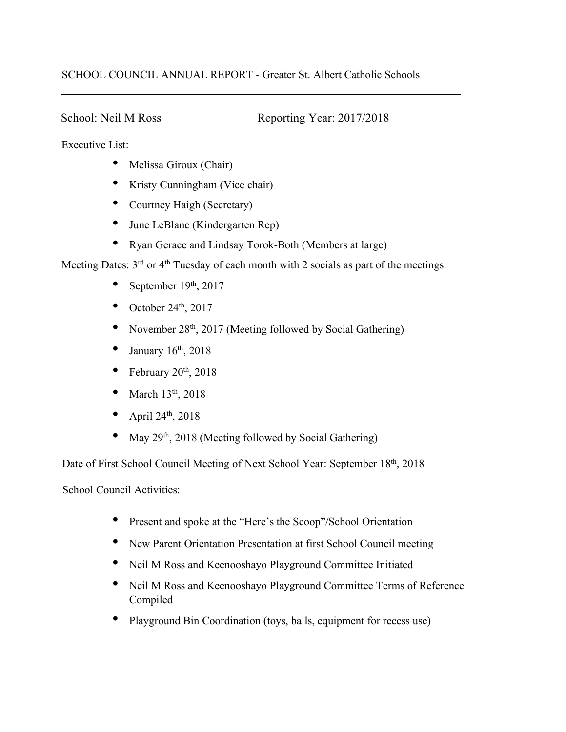## SCHOOL COUNCIL ANNUAL REPORT - Greater St. Albert Catholic Schools

School: Neil M Ross Reporting Year: 2017/2018

Executive List:

- Melissa Giroux (Chair)
- Kristy Cunningham (Vice chair)
- Courtney Haigh (Secretary)
- June LeBlanc (Kindergarten Rep)
- Ryan Gerace and Lindsay Torok-Both (Members at large)

Meeting Dates: 3<sup>rd</sup> or 4<sup>th</sup> Tuesday of each month with 2 socials as part of the meetings.

- September  $19<sup>th</sup>$ , 2017
- October 24th, 2017
- November  $28<sup>th</sup>$ , 2017 (Meeting followed by Social Gathering)
- January  $16<sup>th</sup>$ , 2018
- February  $20<sup>th</sup>$ ,  $2018$
- March 13<sup>th</sup>, 2018
- April 24th, 2018
- May  $29<sup>th</sup>$ , 2018 (Meeting followed by Social Gathering)

Date of First School Council Meeting of Next School Year: September 18<sup>th</sup>, 2018

School Council Activities:

- Present and spoke at the "Here's the Scoop"/School Orientation
- New Parent Orientation Presentation at first School Council meeting
- Neil M Ross and Keenooshayo Playground Committee Initiated
- Neil M Ross and Keenooshayo Playground Committee Terms of Reference Compiled
- Playground Bin Coordination (toys, balls, equipment for recess use)